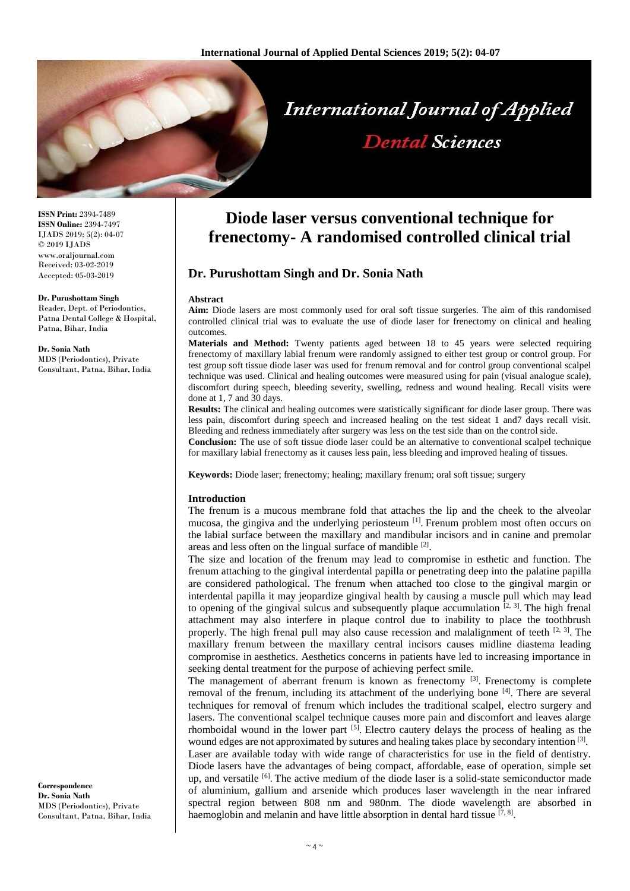

**ISSN Print:** 2394-7489 **ISSN Online:** 2394-7497 IJADS 2019; 5(2): 04-07 © 2019 IJADS www.oraljournal.com Received: 03-02-2019 Accepted: 05-03-2019

**Dr. Purushottam Singh** Reader, Dept. of Periodontics, Patna Dental College & Hospital, Patna, Bihar, India

**Dr. Sonia Nath** MDS (Periodontics), Private Consultant, Patna, Bihar, India

**Correspondence Dr. Sonia Nath** MDS (Periodontics), Private Consultant, Patna, Bihar, India

# **Diode laser versus conventional technique for frenectomy- A randomised controlled clinical trial**

## **Dr. Purushottam Singh and Dr. Sonia Nath**

#### **Abstract**

**Aim:** Diode lasers are most commonly used for oral soft tissue surgeries. The aim of this randomised controlled clinical trial was to evaluate the use of diode laser for frenectomy on clinical and healing outcomes.

**Materials and Method:** Twenty patients aged between 18 to 45 years were selected requiring frenectomy of maxillary labial frenum were randomly assigned to either test group or control group. For test group soft tissue diode laser was used for frenum removal and for control group conventional scalpel technique was used. Clinical and healing outcomes were measured using for pain (visual analogue scale), discomfort during speech, bleeding severity, swelling, redness and wound healing. Recall visits were done at 1, 7 and 30 days.

**Results:** The clinical and healing outcomes were statistically significant for diode laser group. There was less pain, discomfort during speech and increased healing on the test sideat 1 and7 days recall visit. Bleeding and redness immediately after surgery was less on the test side than on the control side.

**Conclusion:** The use of soft tissue diode laser could be an alternative to conventional scalpel technique for maxillary labial frenectomy as it causes less pain, less bleeding and improved healing of tissues.

**Keywords:** Diode laser; frenectomy; healing; maxillary frenum; oral soft tissue; surgery

#### **Introduction**

The frenum is a mucous membrane fold that attaches the lip and the cheek to the alveolar mucosa, the gingiva and the underlying periosteum <sup>[1]</sup>. Frenum problem most often occurs on the labial surface between the maxillary and mandibular incisors and in canine and premolar areas and less often on the lingual surface of mandible [2].

The size and location of the frenum may lead to compromise in esthetic and function. The frenum attaching to the gingival interdental papilla or penetrating deep into the palatine papilla are considered pathological. The frenum when attached too close to the gingival margin or interdental papilla it may jeopardize gingival health by causing a muscle pull which may lead to opening of the gingival sulcus and subsequently plaque accumulation  $[2, 3]$ . The high frenal attachment may also interfere in plaque control due to inability to place the toothbrush properly. The high frenal pull may also cause recession and malalignment of teeth  $[2, 3]$ . The maxillary frenum between the maxillary central incisors causes midline diastema leading compromise in aesthetics. Aesthetics concerns in patients have led to increasing importance in seeking dental treatment for the purpose of achieving perfect smile.

The management of aberrant frenum is known as frenectomy  $[3]$ . Frenectomy is complete removal of the frenum, including its attachment of the underlying bone [4]. There are several techniques for removal of frenum which includes the traditional scalpel, electro surgery and lasers. The conventional scalpel technique causes more pain and discomfort and leaves alarge rhomboidal wound in the lower part  $[5]$ . Electro cautery delays the process of healing as the wound edges are not approximated by sutures and healing takes place by secondary intention<sup>[3]</sup>. Laser are available today with wide range of characteristics for use in the field of dentistry. Diode lasers have the advantages of being compact, affordable, ease of operation, simple set up, and versatile <sup>[6]</sup>. The active medium of the diode laser is a solid-state semiconductor made of aluminium, gallium and arsenide which produces laser wavelength in the near infrared spectral region between 808 nm and 980nm. The diode wavelength are absorbed in

haemoglobin and melanin and have little absorption in dental hard tissue [7,8].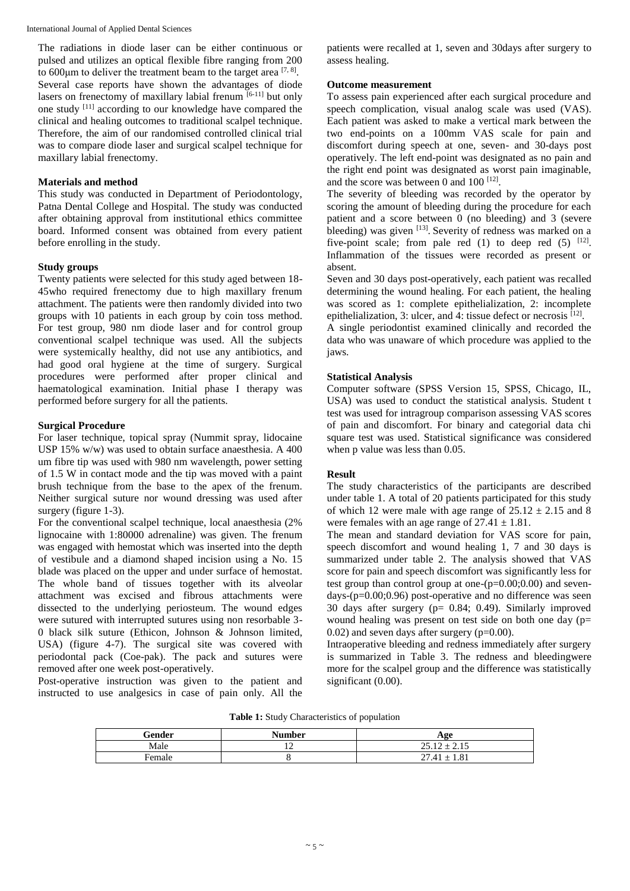International Journal of Applied Dental Sciences

The radiations in diode laser can be either continuous or pulsed and utilizes an optical flexible fibre ranging from 200 to 600 $\mu$ m to deliver the treatment beam to the target area  $^{[7, 8]}$ . Several case reports have shown the advantages of diode lasers on frenectomy of maxillary labial frenum  $[6-11]$  but only one study [11] according to our knowledge have compared the clinical and healing outcomes to traditional scalpel technique. Therefore, the aim of our randomised controlled clinical trial was to compare diode laser and surgical scalpel technique for maxillary labial frenectomy.

## **Materials and method**

This study was conducted in Department of Periodontology, Patna Dental College and Hospital. The study was conducted after obtaining approval from institutional ethics committee board. Informed consent was obtained from every patient before enrolling in the study.

## **Study groups**

Twenty patients were selected for this study aged between 18- 45who required frenectomy due to high maxillary frenum attachment. The patients were then randomly divided into two groups with 10 patients in each group by coin toss method. For test group, 980 nm diode laser and for control group conventional scalpel technique was used. All the subjects were systemically healthy, did not use any antibiotics, and had good oral hygiene at the time of surgery. Surgical procedures were performed after proper clinical and haematological examination. Initial phase I therapy was performed before surgery for all the patients.

### **Surgical Procedure**

For laser technique, topical spray (Nummit spray, lidocaine USP 15% w/w) was used to obtain surface anaesthesia. A 400 um fibre tip was used with 980 nm wavelength, power setting of 1.5 W in contact mode and the tip was moved with a paint brush technique from the base to the apex of the frenum. Neither surgical suture nor wound dressing was used after surgery (figure 1-3).

For the conventional scalpel technique, local anaesthesia (2% lignocaine with 1:80000 adrenaline) was given. The frenum was engaged with hemostat which was inserted into the depth of vestibule and a diamond shaped incision using a No. 15 blade was placed on the upper and under surface of hemostat. The whole band of tissues together with its alveolar attachment was excised and fibrous attachments were dissected to the underlying periosteum. The wound edges were sutured with interrupted sutures using non resorbable 3- 0 black silk suture (Ethicon, Johnson & Johnson limited, USA) (figure 4-7). The surgical site was covered with periodontal pack (Coe-pak). The pack and sutures were removed after one week post-operatively.

Post-operative instruction was given to the patient and instructed to use analgesics in case of pain only. All the

patients were recalled at 1, seven and 30days after surgery to assess healing.

### **Outcome measurement**

To assess pain experienced after each surgical procedure and speech complication, visual analog scale was used (VAS). Each patient was asked to make a vertical mark between the two end-points on a 100mm VAS scale for pain and discomfort during speech at one, seven- and 30-days post operatively. The left end-point was designated as no pain and the right end point was designated as worst pain imaginable, and the score was between 0 and  $100$   $[12]$ .

The severity of bleeding was recorded by the operator by scoring the amount of bleeding during the procedure for each patient and a score between 0 (no bleeding) and 3 (severe bleeding) was given [13]. Severity of redness was marked on a five-point scale; from pale red  $(1)$  to deep red  $(5)$  <sup>[12]</sup>. Inflammation of the tissues were recorded as present or absent.

Seven and 30 days post-operatively, each patient was recalled determining the wound healing. For each patient, the healing was scored as 1: complete epithelialization, 2: incomplete epithelialization, 3: ulcer, and 4: tissue defect or necrosis [12].

A single periodontist examined clinically and recorded the data who was unaware of which procedure was applied to the jaws.

## **Statistical Analysis**

Computer software (SPSS Version 15, SPSS, Chicago, IL, USA) was used to conduct the statistical analysis. Student t test was used for intragroup comparison assessing VAS scores of pain and discomfort. For binary and categorial data chi square test was used. Statistical significance was considered when p value was less than 0.05.

## **Result**

The study characteristics of the participants are described under table 1. A total of 20 patients participated for this study of which 12 were male with age range of  $25.12 \pm 2.15$  and 8 were females with an age range of  $27.41 \pm 1.81$ .

The mean and standard deviation for VAS score for pain, speech discomfort and wound healing 1, 7 and 30 days is summarized under table 2. The analysis showed that VAS score for pain and speech discomfort was significantly less for test group than control group at one- $(p=0.00;0.00)$  and seven $days-(p=0.00;0.96)$  post-operative and no difference was seen 30 days after surgery (p= 0.84; 0.49). Similarly improved wound healing was present on test side on both one day  $(p=$  $(0.02)$  and seven days after surgery ( $p=0.00$ ).

Intraoperative bleeding and redness immediately after surgery is summarized in Table 3. The redness and bleedingwere more for the scalpel group and the difference was statistically significant (0.00).

**Table 1:** Study Characteristics of population

| Gender | <b>Number</b> | Age              |
|--------|---------------|------------------|
| Male   | . .           | $25.12 \pm 2.15$ |
| Female |               | $27.41 \pm 1.81$ |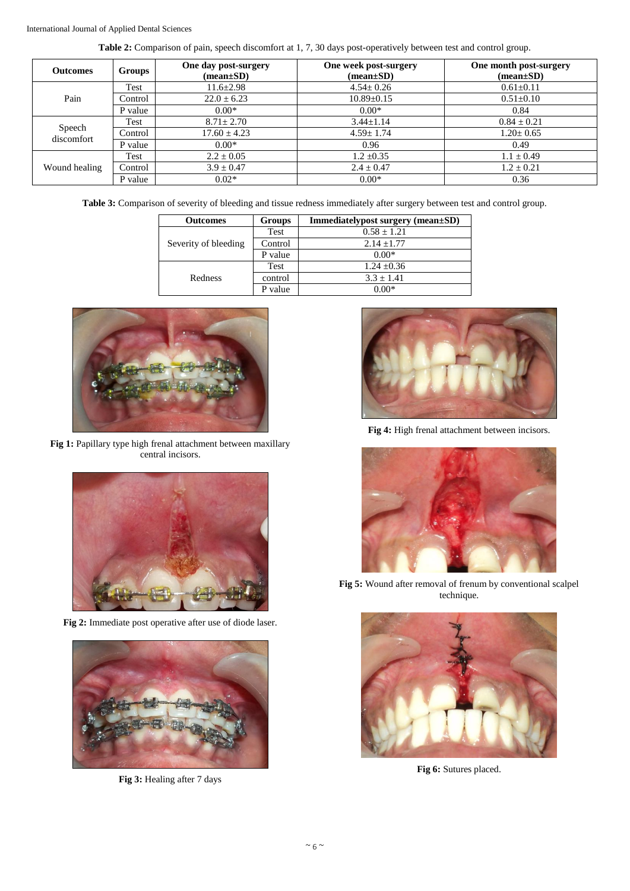**Table 2:** Comparison of pain, speech discomfort at 1, 7, 30 days post-operatively between test and control group.

| <b>Outcomes</b>      | <b>Groups</b> | One day post-surgery<br>$(\text{mean}\pm S\textbf{D})$ | One week post-surgery<br>$(\text{mean}\pm S\textbf{D})$ | One month post-surgery<br>$(mean \pm SD)$ |
|----------------------|---------------|--------------------------------------------------------|---------------------------------------------------------|-------------------------------------------|
| Pain                 | Test          | $11.6 \pm 2.98$                                        | $4.54 \pm 0.26$                                         | $0.61 \pm 0.11$                           |
|                      | Control       | $22.0 \pm 6.23$                                        | $10.89 \pm 0.15$                                        | $0.51 \pm 0.10$                           |
|                      | P value       | $0.00*$                                                | $0.00*$                                                 | 0.84                                      |
| Speech<br>discomfort | Test          | $8.71 \pm 2.70$                                        | $3.44 \pm 1.14$                                         | $0.84 \pm 0.21$                           |
|                      | Control       | $17.60 \pm 4.23$                                       | $4.59 \pm 1.74$                                         | $1.20 \pm 0.65$                           |
|                      | P value       | $0.00*$                                                | 0.96                                                    | 0.49                                      |
| Wound healing        | Test          | $2.2 \pm 0.05$                                         | $1.2 \pm 0.35$                                          | $1.1 \pm 0.49$                            |
|                      | Control       | $3.9 \pm 0.47$                                         | $2.4 \pm 0.47$                                          | $1.2 \pm 0.21$                            |
|                      | P value       | $0.02*$                                                | $0.00*$                                                 | 0.36                                      |

**Table 3:** Comparison of severity of bleeding and tissue redness immediately after surgery between test and control group.

| <b>Outcomes</b>      | Groups  | Immediatelypost surgery (mean±SD) |  |
|----------------------|---------|-----------------------------------|--|
| Severity of bleeding | Test    | $0.58 \pm 1.21$                   |  |
|                      | Control | $2.14 + 1.77$                     |  |
|                      | P value | $0.00*$                           |  |
| Redness              | Test    | $1.24 \pm 0.36$                   |  |
|                      | control | $3.3 \pm 1.41$                    |  |
|                      | P value | 0 00*                             |  |



**Fig 1:** Papillary type high frenal attachment between maxillary central incisors.



**Fig 2:** Immediate post operative after use of diode laser.



**Fig 3:** Healing after 7 days



**Fig 4:** High frenal attachment between incisors.



**Fig 5:** Wound after removal of frenum by conventional scalpel technique.



Fig 6: Sutures placed.